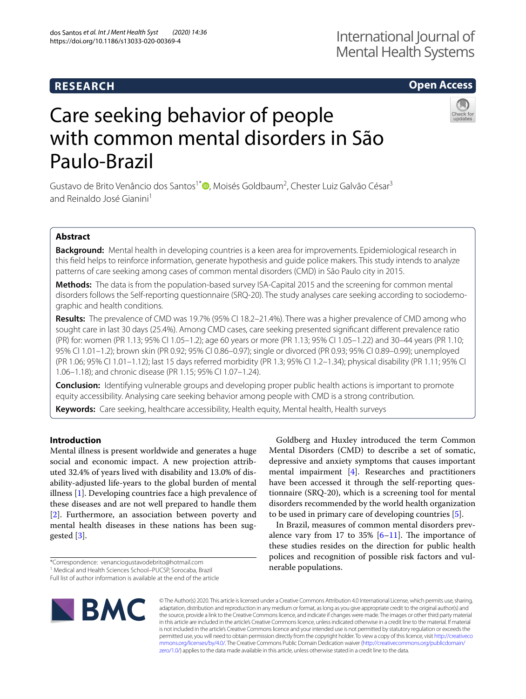## **RESEARCH**

## **Open Access**



# Care seeking behavior of people with common mental disorders in São Paulo-Brazil

Gustavo de Brito Venâncio dos Santos<sup>1\*</sup>®[,](http://orcid.org/0000-0003-1481-5801) Moisés Goldbaum<sup>2</sup>, Chester Luiz Galvão César<sup>3</sup> and Reinaldo José Gianini<sup>1</sup>

## **Abstract**

**Background:** Mental health in developing countries is a keen area for improvements. Epidemiological research in this feld helps to reinforce information, generate hypothesis and guide police makers. This study intends to analyze patterns of care seeking among cases of common mental disorders (CMD) in São Paulo city in 2015.

**Methods:** The data is from the population-based survey ISA-Capital 2015 and the screening for common mental disorders follows the Self-reporting questionnaire (SRQ-20). The study analyses care seeking according to sociodemographic and health conditions.

**Results:** The prevalence of CMD was 19.7% (95% CI 18.2–21.4%). There was a higher prevalence of CMD among who sought care in last 30 days (25.4%). Among CMD cases, care seeking presented signifcant diferent prevalence ratio (PR) for: women (PR 1.13; 95% CI 1.05–1.2); age 60 years or more (PR 1.13; 95% CI 1.05–1.22) and 30–44 years (PR 1.10; 95% CI 1.01–1.2); brown skin (PR 0.92; 95% CI 0.86–0.97); single or divorced (PR 0.93; 95% CI 0.89–0.99); unemployed (PR 1.06; 95% CI 1.01–1.12); last 15 days referred morbidity (PR 1.3; 95% CI 1.2–1.34); physical disability (PR 1.11; 95% CI 1.06–1.18); and chronic disease (PR 1.15; 95% CI 1.07–1.24).

**Conclusion:** Identifying vulnerable groups and developing proper public health actions is important to promote equity accessibility. Analysing care seeking behavior among people with CMD is a strong contribution.

**Keywords:** Care seeking, healthcare accessibility, Health equity, Mental health, Health surveys

## **Introduction**

Mental illness is present worldwide and generates a huge social and economic impact. A new projection attributed 32.4% of years lived with disability and 13.0% of disability-adjusted life-years to the global burden of mental illness [[1](#page-4-0)]. Developing countries face a high prevalence of these diseases and are not well prepared to handle them [[2\]](#page-4-1). Furthermore, an association between poverty and mental health diseases in these nations has been suggested [\[3](#page-4-2)].

Full list of author information is available at the end of the article



Goldberg and Huxley introduced the term Common Mental Disorders (CMD) to describe a set of somatic, depressive and anxiety symptoms that causes important mental impairment [[4\]](#page-4-3). Researches and practitioners have been accessed it through the self-reporting questionnaire (SRQ-20), which is a screening tool for mental disorders recommended by the world health organization to be used in primary care of developing countries [[5\]](#page-4-4).

In Brazil, measures of common mental disorders prevalence vary from 17 to 35%  $[6-11]$  $[6-11]$ . The importance of these studies resides on the direction for public health polices and recognition of possible risk factors and vulnerable populations.

© The Author(s) 2020. This article is licensed under a Creative Commons Attribution 4.0 International License, which permits use, sharing, adaptation, distribution and reproduction in any medium or format, as long as you give appropriate credit to the original author(s) and the source, provide a link to the Creative Commons licence, and indicate if changes were made. The images or other third party material in this article are included in the article's Creative Commons licence, unless indicated otherwise in a credit line to the material. If material is not included in the article's Creative Commons licence and your intended use is not permitted by statutory regulation or exceeds the permitted use, you will need to obtain permission directly from the copyright holder. To view a copy of this licence, visit [http://creativeco](http://creativecommons.org/licenses/by/4.0/) [mmons.org/licenses/by/4.0/.](http://creativecommons.org/licenses/by/4.0/) The Creative Commons Public Domain Dedication waiver ([http://creativecommons.org/publicdomain/](http://creativecommons.org/publicdomain/zero/1.0/) [zero/1.0/\)](http://creativecommons.org/publicdomain/zero/1.0/) applies to the data made available in this article, unless otherwise stated in a credit line to the data.

<sup>\*</sup>Correspondence: venanciogustavodebrito@hotmail.com

<sup>&</sup>lt;sup>1</sup> Medical and Health Sciences School-PUCSP, Sorocaba, Brazil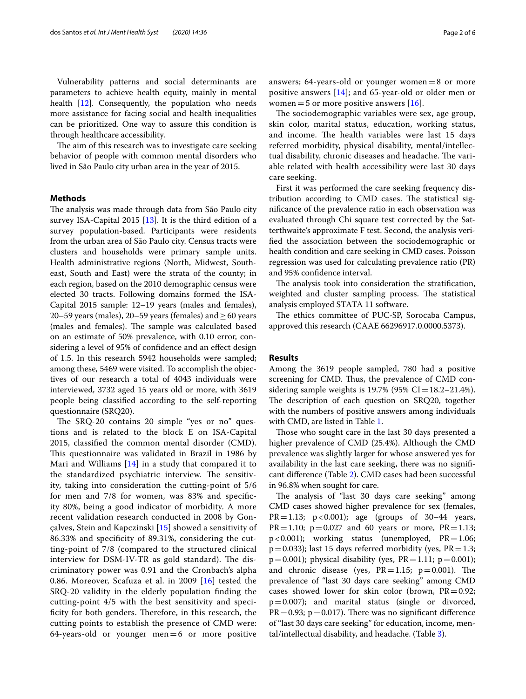Vulnerability patterns and social determinants are parameters to achieve health equity, mainly in mental health [[12\]](#page-4-7). Consequently, the population who needs more assistance for facing social and health inequalities can be prioritized. One way to assure this condition is through healthcare accessibility.

The aim of this research was to investigate care seeking behavior of people with common mental disorders who lived in São Paulo city urban area in the year of 2015.

#### **Methods**

The analysis was made through data from São Paulo city survey ISA-Capital 2015 [[13](#page-4-8)]. It is the third edition of a survey population-based. Participants were residents from the urban area of São Paulo city. Census tracts were clusters and households were primary sample units. Health administrative regions (North, Midwest, Southeast, South and East) were the strata of the county; in each region, based on the 2010 demographic census were elected 30 tracts. Following domains formed the ISA-Capital 2015 sample: 12–19 years (males and females), 20–59 years (males), 20–59 years (females) and  $\geq$  60 years (males and females). The sample was calculated based on an estimate of 50% prevalence, with 0.10 error, considering a level of 95% of confdence and an efect design of 1.5. In this research 5942 households were sampled; among these, 5469 were visited. To accomplish the objectives of our research a total of 4043 individuals were interviewed, 3732 aged 15 years old or more, with 3619 people being classifed according to the self-reporting questionnaire (SRQ20).

The SRQ-20 contains 20 simple "yes or no" questions and is related to the block E on ISA-Capital 2015, classifed the common mental disorder (CMD). This questionnaire was validated in Brazil in 1986 by Mari and Williams [[14](#page-4-9)] in a study that compared it to the standardized psychiatric interview. The sensitivity, taking into consideration the cutting-point of 5/6 for men and 7/8 for women, was 83% and specifcity 80%, being a good indicator of morbidity. A more recent validation research conducted in 2008 by Gonçalves, Stein and Kapczinski [\[15](#page-5-0)] showed a sensitivity of 86.33% and specifcity of 89.31%, considering the cutting-point of 7/8 (compared to the structured clinical interview for DSM-IV-TR as gold standard). The discriminatory power was 0.91 and the Cronbach's alpha 0.86. Moreover, Scafuza et al. in 2009  $[16]$  $[16]$  tested the SRQ-20 validity in the elderly population fnding the cutting-point 4/5 with the best sensitivity and specificity for both genders. Therefore, in this research, the cutting points to establish the presence of CMD were:  $64$ -years-old or younger men=6 or more positive answers; 64-years-old or younger women $=8$  or more positive answers [[14](#page-4-9)]; and 65-year-old or older men or women = 5 or more positive answers  $[16]$  $[16]$ .

The sociodemographic variables were sex, age group, skin color, marital status, education, working status, and income. The health variables were last 15 days referred morbidity, physical disability, mental/intellectual disability, chronic diseases and headache. The variable related with health accessibility were last 30 days care seeking.

First it was performed the care seeking frequency distribution according to CMD cases. The statistical signifcance of the prevalence ratio in each observation was evaluated through Chi square test corrected by the Satterthwaite's approximate F test. Second, the analysis verifed the association between the sociodemographic or health condition and care seeking in CMD cases. Poisson regression was used for calculating prevalence ratio (PR) and 95% confdence interval.

The analysis took into consideration the stratification, weighted and cluster sampling process. The statistical analysis employed STATA 11 software.

The ethics committee of PUC-SP, Sorocaba Campus, approved this research (CAAE 66296917.0.0000.5373).

#### **Results**

Among the 3619 people sampled, 780 had a positive screening for CMD. Thus, the prevalence of CMD considering sample weights is  $19.7\%$  (95% CI=18.2–21.4%). The description of each question on SRQ20, together with the numbers of positive answers among individuals with CMD, are listed in Table [1.](#page-2-0)

Those who sought care in the last 30 days presented a higher prevalence of CMD (25.4%). Although the CMD prevalence was slightly larger for whose answered yes for availability in the last care seeking, there was no signifcant diference (Table [2\)](#page-2-1). CMD cases had been successful in 96.8% when sought for care.

The analysis of "last 30 days care seeking" among CMD cases showed higher prevalence for sex (females, PR=1.13;  $p < 0.001$ ); age (groups of 30-44 years,  $PR = 1.10$ ;  $p = 0.027$  and 60 years or more,  $PR = 1.13$ ; p<0.001); working status (unemployed, PR=1.06;  $p=0.033$ ); last 15 days referred morbidity (yes,  $PR=1.3$ ;  $p=0.001$ ); physical disability (yes,  $PR=1.11$ ;  $p=0.001$ ); and chronic disease (yes,  $PR = 1.15$ ;  $p = 0.001$ ). The prevalence of "last 30 days care seeking" among CMD cases showed lower for skin color (brown,  $PR = 0.92$ ; p=0.007); and marital status (single or divorced,  $PR = 0.93$ ;  $p = 0.017$ ). There was no significant difference of "last 30 days care seeking" for education, income, mental/intellectual disability, and headache. (Table [3](#page-3-0)).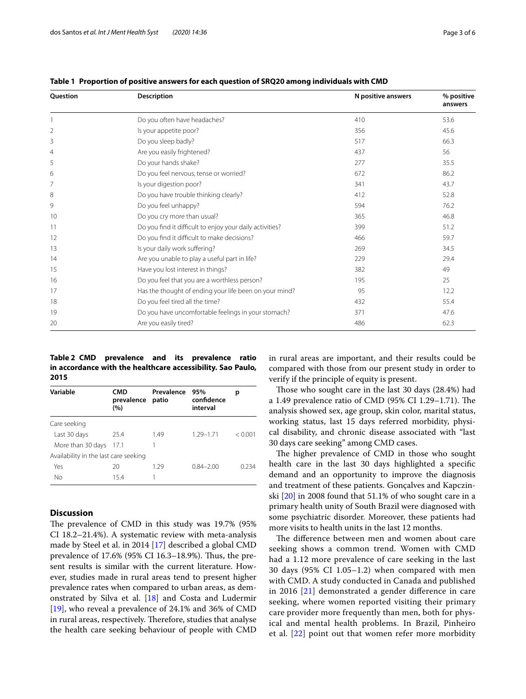| <b>Description</b><br><b>Ouestion</b> |                                                          | N positive answers | % positive<br>answers |
|---------------------------------------|----------------------------------------------------------|--------------------|-----------------------|
|                                       | Do you often have headaches?                             | 410                | 53.6                  |
| $\overline{2}$                        | Is your appetite poor?                                   | 356                | 45.6                  |
| 3                                     | Do you sleep badly?                                      | 517                | 66.3                  |
| $\overline{4}$                        | Are you easily frightened?                               | 437                | 56                    |
| 5                                     | Do your hands shake?                                     | 277                | 35.5                  |
| 6                                     | Do you feel nervous, tense or worried?                   | 672                | 86.2                  |
|                                       | Is your digestion poor?                                  | 341                | 43.7                  |
| 8                                     | Do you have trouble thinking clearly?                    | 412                | 52.8                  |
| 9                                     | Do you feel unhappy?                                     | 594                | 76.2                  |
| 10                                    | Do you cry more than usual?                              | 365                | 46.8                  |
| 11                                    | Do you find it difficult to enjoy your daily activities? | 399                | 51.2                  |
| 12                                    | Do you find it difficult to make decisions?              | 466                | 59.7                  |
| 13                                    | Is your daily work suffering?                            | 269                | 34.5                  |
| 14                                    | Are you unable to play a useful part in life?            | 229                | 29.4                  |
| 15                                    | Have you lost interest in things?                        | 382                | 49                    |
| 16                                    | Do you feel that you are a worthless person?             | 195                | 25                    |
| 17                                    | Has the thought of ending your life been on your mind?   | 95                 | 12.2                  |
| 18                                    | Do you feel tired all the time?                          | 432                | 55.4                  |
| 19                                    | Do you have uncomfortable feelings in your stomach?      | 371                | 47.6                  |
| 20                                    | Are you easily tired?                                    | 486                | 62.3                  |

<span id="page-2-0"></span>**Table 1 Proportion of positive answers for each question of SRQ20 among individuals with CMD**

<span id="page-2-1"></span>**Table 2 CMD prevalence and its prevalence ratio in accordance with the healthcare accessibility. Sao Paulo, 2015**

| Variable                              | CMD<br>prevalence<br>(%) | Prevalence<br>patio | 95%<br>confidence<br>interval |         |  |  |
|---------------------------------------|--------------------------|---------------------|-------------------------------|---------|--|--|
| Care seeking                          |                          |                     |                               |         |  |  |
| Last 30 days                          | 25.4                     | 1.49                | $1.29 - 1.71$                 | < 0.001 |  |  |
| More than 30 days                     | 17.1                     |                     |                               |         |  |  |
| Availability in the last care seeking |                          |                     |                               |         |  |  |
| Yes                                   | 20                       | 1.29                | $0.84 - 2.00$                 | 0.234   |  |  |
| No                                    | 15.4                     |                     |                               |         |  |  |

#### **Discussion**

The prevalence of CMD in this study was 19.7% (95% CI 18.2–21.4%). A systematic review with meta-analysis made by Steel et al. in 2014 [[17\]](#page-5-2) described a global CMD prevalence of 17.6% (95% CI 16.3–18.9%). Thus, the present results is similar with the current literature. However, studies made in rural areas tend to present higher prevalence rates when compared to urban areas, as demonstrated by Silva et al. [[18\]](#page-5-3) and Costa and Ludermir [[19\]](#page-5-4), who reveal a prevalence of 24.1% and 36% of CMD in rural areas, respectively. Therefore, studies that analyse the health care seeking behaviour of people with CMD in rural areas are important, and their results could be compared with those from our present study in order to verify if the principle of equity is present.

Those who sought care in the last 30 days (28.4%) had a 1.49 prevalence ratio of CMD (95% CI 1.29-1.71). The analysis showed sex, age group, skin color, marital status, working status, last 15 days referred morbidity, physical disability, and chronic disease associated with "last 30 days care seeking" among CMD cases.

The higher prevalence of CMD in those who sought health care in the last 30 days highlighted a specifc demand and an opportunity to improve the diagnosis and treatment of these patients. Gonçalves and Kapczinski [[20\]](#page-5-5) in 2008 found that 51.1% of who sought care in a primary health unity of South Brazil were diagnosed with some psychiatric disorder. Moreover, these patients had more visits to health units in the last 12 months.

The difference between men and women about care seeking shows a common trend. Women with CMD had a 1.12 more prevalence of care seeking in the last 30 days (95% CI 1.05–1.2) when compared with men with CMD. A study conducted in Canada and published in 2016 [[21\]](#page-5-6) demonstrated a gender diference in care seeking, where women reported visiting their primary care provider more frequently than men, both for physical and mental health problems. In Brazil, Pinheiro et al. [[22\]](#page-5-7) point out that women refer more morbidity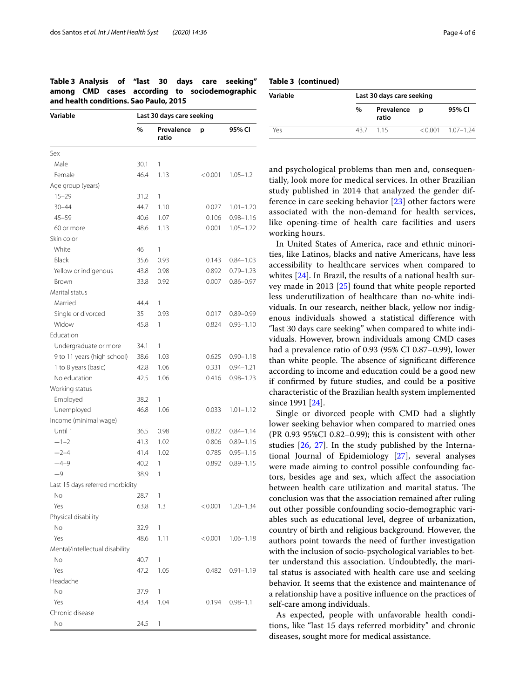<span id="page-3-0"></span>

|                                        |  |  |  |  |  | Table 3 Analysis of "last 30 days care seeking" |
|----------------------------------------|--|--|--|--|--|-------------------------------------------------|
|                                        |  |  |  |  |  | among CMD cases according to sociodemographic   |
| and health conditions. Sao Paulo, 2015 |  |  |  |  |  |                                                 |

| Variable                        | Last 30 days care seeking |                     |         |               |  |
|---------------------------------|---------------------------|---------------------|---------|---------------|--|
|                                 | %                         | Prevalence<br>ratio | p       | 95% CI        |  |
| Sex                             |                           |                     |         |               |  |
| Male                            | 30.1                      | 1                   |         |               |  |
| Female                          | 46.4                      | 1.13                | < 0.001 | $1.05 - 1.2$  |  |
| Age group (years)               |                           |                     |         |               |  |
| $15 - 29$                       | 31.2                      | 1                   |         |               |  |
| $30 - 44$                       | 44.7                      | 1.10                | 0.027   | $1.01 - 1.20$ |  |
| $45 - 59$                       | 40.6                      | 1.07                | 0.106   | $0.98 - 1.16$ |  |
| 60 or more                      | 48.6                      | 1.13                | 0.001   | $1.05 - 1.22$ |  |
| Skin color                      |                           |                     |         |               |  |
| White                           | 46                        | 1                   |         |               |  |
| Black                           | 35.6                      | 0.93                | 0.143   | $0.84 - 1.03$ |  |
| Yellow or indigenous            | 43.8                      | 0.98                | 0.892   | $0.79 - 1.23$ |  |
| Brown                           | 33.8                      | 0.92                | 0.007   | $0.86 - 0.97$ |  |
| Marital status                  |                           |                     |         |               |  |
| Married                         | 44.4                      | 1                   |         |               |  |
| Single or divorced              | 35                        | 0.93                | 0.017   | $0.89 - 0.99$ |  |
| Widow                           | 45.8                      | 1                   | 0.824   | $0.93 - 1.10$ |  |
| Education                       |                           |                     |         |               |  |
| Undergraduate or more           | 34.1                      | 1                   |         |               |  |
| 9 to 11 years (high school)     | 38.6                      | 1.03                | 0.625   | $0.90 - 1.18$ |  |
| 1 to 8 years (basic)            | 42.8                      | 1.06                | 0.331   | $0.94 - 1.21$ |  |
| No education                    | 42.5                      | 1.06                | 0.416   | $0.98 - 1.23$ |  |
| Working status                  |                           |                     |         |               |  |
| Employed                        | 38.2                      | 1                   |         |               |  |
| Unemployed                      | 46.8                      | 1.06                | 0.033   | $1.01 - 1.12$ |  |
| Income (minimal wage)           |                           |                     |         |               |  |
| Until 1                         | 36.5                      | 0.98                | 0.822   | $0.84 - 1.14$ |  |
| $+1-2$                          | 41.3                      | 1.02                | 0.806   | $0.89 - 1.16$ |  |
| $+2-4$                          | 41.4                      | 1.02                | 0.785   | $0.95 - 1.16$ |  |
| $+4-9$                          | 40.2                      | 1                   | 0.892   | $0.89 - 1.15$ |  |
| $+9$                            | 38.9                      | 1                   |         |               |  |
| Last 15 days referred morbidity |                           |                     |         |               |  |
| No                              | 28.7                      | 1                   |         |               |  |
| Yes                             | 63.8                      | 1.3                 | < 0.001 | $1.20 - 1.34$ |  |
| Physical disability             |                           |                     |         |               |  |
| No                              | 32.9                      | 1                   |         |               |  |
| Yes                             | 48.6                      | 1.11                | < 0.001 | $1.06 - 1.18$ |  |
| Mental/intellectual disability  |                           |                     |         |               |  |
| No                              | 40.7                      | 1                   |         |               |  |
| Yes                             | 47.2                      | 1.05                | 0.482   | $0.91 - 1.19$ |  |
| Headache                        |                           |                     |         |               |  |
| No                              | 37.9                      | 1                   |         |               |  |
| Yes                             | 43.4                      | 1.04                | 0.194   | $0.98 - 1.1$  |  |
| Chronic disease                 |                           |                     |         |               |  |
| No                              | 24.5                      | 1                   |         |               |  |

| Variable | Last 30 days care seeking |                       |  |                     |  |  |
|----------|---------------------------|-----------------------|--|---------------------|--|--|
|          | $\%$                      | Prevalence p<br>ratio |  | 95% CI              |  |  |
| Yρς      |                           | 437 115               |  | $< 0.001$ 1.07-1.24 |  |  |

and psychological problems than men and, consequentially, look more for medical services. In other Brazilian study published in 2014 that analyzed the gender difference in care seeking behavior [[23](#page-5-8)] other factors were associated with the non-demand for health services, like opening-time of health care facilities and users working hours.

In United States of America, race and ethnic minorities, like Latinos, blacks and native Americans, have less accessibility to healthcare services when compared to whites [\[24\]](#page-5-9). In Brazil, the results of a national health survey made in 2013 [\[25\]](#page-5-10) found that white people reported less underutilization of healthcare than no-white individuals. In our research, neither black, yellow nor indigenous individuals showed a statistical diference with "last 30 days care seeking" when compared to white individuals. However, brown individuals among CMD cases had a prevalence ratio of 0.93 (95% CI 0.87–0.99), lower than white people. The absence of significant difference according to income and education could be a good new if confrmed by future studies, and could be a positive characteristic of the Brazilian health system implemented since 1991 [[24\]](#page-5-9).

Single or divorced people with CMD had a slightly lower seeking behavior when compared to married ones (PR 0.93 95%CI 0.82–0.99); this is consistent with other studies [\[26](#page-5-11), [27](#page-5-12)]. In the study published by the International Journal of Epidemiology [\[27](#page-5-12)], several analyses were made aiming to control possible confounding factors, besides age and sex, which afect the association between health care utilization and marital status. The conclusion was that the association remained after ruling out other possible confounding socio-demographic variables such as educational level, degree of urbanization, country of birth and religious background. However, the authors point towards the need of further investigation with the inclusion of socio-psychological variables to better understand this association. Undoubtedly, the marital status is associated with health care use and seeking behavior. It seems that the existence and maintenance of a relationship have a positive infuence on the practices of self-care among individuals.

As expected, people with unfavorable health conditions, like "last 15 days referred morbidity" and chronic diseases, sought more for medical assistance.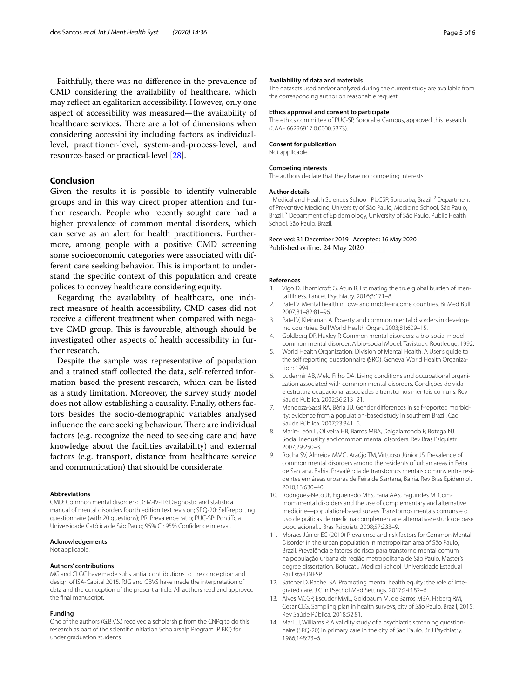Faithfully, there was no diference in the prevalence of CMD considering the availability of healthcare, which may refect an egalitarian accessibility. However, only one aspect of accessibility was measured—the availability of healthcare services. There are a lot of dimensions when considering accessibility including factors as individuallevel, practitioner-level, system-and-process-level, and resource-based or practical-level [[28](#page-5-13)].

#### **Conclusion**

Given the results it is possible to identify vulnerable groups and in this way direct proper attention and further research. People who recently sought care had a higher prevalence of common mental disorders, which can serve as an alert for health practitioners. Furthermore, among people with a positive CMD screening some socioeconomic categories were associated with different care seeking behavior. This is important to understand the specifc context of this population and create polices to convey healthcare considering equity.

Regarding the availability of healthcare, one indirect measure of health accessibility, CMD cases did not receive a diferent treatment when compared with negative CMD group. This is favourable, although should be investigated other aspects of health accessibility in further research.

Despite the sample was representative of population and a trained staff collected the data, self-referred information based the present research, which can be listed as a study limitation. Moreover, the survey study model does not allow establishing a causality. Finally, others factors besides the socio-demographic variables analysed influence the care seeking behaviour. There are individual factors (e.g. recognize the need to seeking care and have knowledge about the facilities availability) and external factors (e.g. transport, distance from healthcare service and communication) that should be considerate.

#### **Abbreviations**

CMD: Common mental disorders; DSM-IV-TR: Diagnostic and statistical manual of mental disorders fourth edition text revision; SRQ-20: Self-reporting questionnaire (with 20 questions); PR: Prevalence ratio; PUC-SP: Pontifícia Universidade Católica de São Paulo; 95% CI: 95% Confdence interval.

#### **Acknowledgements**

Not applicable.

#### **Authors' contributions**

MG and CLGC have made substantial contributions to the conception and design of ISA-Capital 2015. RJG and GBVS have made the interpretation of data and the conception of the present article. All authors read and approved the fnal manuscript.

#### **Funding**

One of the authors (G.B.V.S.) received a scholarship from the CNPq to do this research as part of the scientifc initiation Scholarship Program (PIBIC) for under graduation students.

#### **Availability of data and materials**

The datasets used and/or analyzed during the current study are available from the corresponding author on reasonable request.

#### **Ethics approval and consent to participate**

The ethics committee of PUC-SP, Sorocaba Campus, approved this research (CAAE 66296917.0.0000.5373).

#### **Consent for publication**

Not applicable.

#### **Competing interests**

The authors declare that they have no competing interests.

#### **Author details**

<sup>1</sup> Medical and Health Sciences School–PUCSP, Sorocaba, Brazil. <sup>2</sup> Department of Preventive Medicine, University of São Paulo, Medicine School, São Paulo, Brazil.<sup>3</sup> Department of Epidemiology, University of São Paulo, Public Health School, São Paulo, Brazil.

## Received: 31 December 2019 Accepted: 16 May 2020

#### **References**

- <span id="page-4-0"></span>Vigo D, Thornicroft G, Atun R. Estimating the true global burden of mental illness. Lancet Psychiatry. 2016;3:171–8.
- <span id="page-4-1"></span>2. Patel V. Mental health in low- and middle-income countries. Br Med Bull. 2007;81–82:81–96.
- <span id="page-4-2"></span>3. Patel V, Kleinman A. Poverty and common mental disorders in developing countries. Bull World Health Organ. 2003;81:609–15.
- <span id="page-4-3"></span>4. Goldberg DP, Huxley P. Common mental disorders: a bio-social model common mental disorder. A bio-social Model. Tavistock: Routledge; 1992.
- <span id="page-4-4"></span>5. World Health Organization. Division of Mental Health. A User's guide to the self reporting questionnaire (SRQ). Geneva: World Health Organization; 1994.
- <span id="page-4-5"></span>6. Ludermir AB, Melo Filho DA. Living conditions and occupational organization associated with common mental disorders. Condições de vida e estrutura ocupacional associadas a transtornos mentais comuns. Rev Saude Publica. 2002;36:213–21.
- 7. Mendoza-Sassi RA, Béria JU. Gender diferences in self-reported morbidity: evidence from a population-based study in southern Brazil. Cad Saúde Pública. 2007;23:341–6.
- 8. Marín-León L, Oliveira HB, Barros MBA, Dalgalarrondo P, Botega NJ. Social inequality and common mental disorders. Rev Bras Psiquiatr. 2007;29:250–3.
- 9. Rocha SV, Almeida MMG, Araújo TM, Virtuoso Júnior JS. Prevalence of common mental disorders among the residents of urban areas in Feira de Santana, Bahia. Prevalência de transtornos mentais comuns entre residentes em áreas urbanas de Feira de Santana, Bahia. Rev Bras Epidemiol. 2010;13:630–40.
- 10. Rodrigues-Neto JF, Figueiredo MFS, Faria AAS, Fagundes M. Commom mental disorders and the use of complementary and alternative medicine—population-based survey. Transtornos mentais comuns e o uso de práticas de medicina complementar e alternativa: estudo de base populacional. J Bras Psiquiatr. 2008;57:233–9.
- <span id="page-4-6"></span>11. Moraes Júnior EC (2010) Prevalence and risk factors for Common Mental Disorder in the urban population in metropolitan area of São Paulo, Brazil. Prevalência e fatores de risco para transtorno mental comum na população urbana da região metropolitana de Sâo Paulo. Master's degree dissertation, Botucatu Medical School, Universidade Estadual Paulista-UNESP.
- <span id="page-4-7"></span>12. Satcher D, Rachel SA. Promoting mental health equity: the role of integrated care. J Clin Psychol Med Settings. 2017;24:182–6.
- <span id="page-4-8"></span>13. Alves MCGP, Escuder MML, Goldbaum M, de Barros MBA, Fisberg RM, Cesar CLG. Sampling plan in health surveys, city of São Paulo, Brazil, 2015. Rev Saúde Pública. 2018;52:81.
- <span id="page-4-9"></span>14. Mari JJ, Williams P. A validity study of a psychiatric screening questionnaire (SRQ-20) in primary care in the city of Sao Paulo. Br J Psychiatry. 1986;148:23–6.